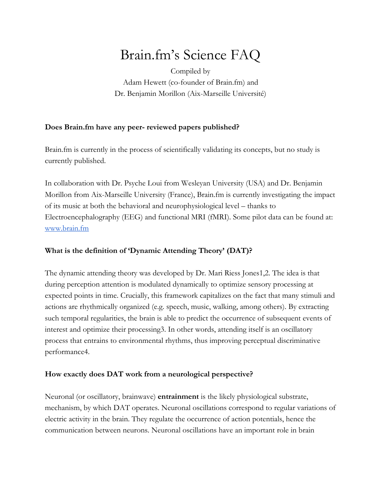# Brain.fm's Science FAQ

Compiled by Adam Hewett (co-founder of Brain.fm) and Dr. Benjamin Morillon (Aix-Marseille Université)

# **Does Brain.fm have any peer- reviewed papers published?**

Brain.fm is currently in the process of scientifically validating its concepts, but no study is currently published.

In collaboration with Dr. Psyche Loui from Wesleyan University (USA) and Dr. Benjamin Morillon from Aix-Marseille University (France), Brain.fm is currently investigating the impact of its music at both the behavioral and neurophysiological level – thanks to Electroencephalography (EEG) and functional MRI (fMRI). Some pilot data can be found at: [www.brain.fm](http://www.brain.fm/science)

# **What is the definition of 'Dynamic Attending Theory' (DAT)?**

The dynamic attending theory was developed by Dr. Mari Riess Jones1,2. The idea is that during perception attention is modulated dynamically to optimize sensory processing at expected points in time. Crucially, this framework capitalizes on the fact that many stimuli and actions are rhythmically organized (e.g. speech, music, walking, among others). By extracting such temporal regularities, the brain is able to predict the occurrence of subsequent events of interest and optimize their processing3. In other words, attending itself is an oscillatory process that entrains to environmental rhythms, thus improving perceptual discriminative performance4.

# **How exactly does DAT work from a neurological perspective?**

Neuronal (or oscillatory, brainwave) **entrainment** is the likely physiological substrate, mechanism, by which DAT operates. Neuronal oscillations correspond to regular variations of electric activity in the brain. They regulate the occurrence of action potentials, hence the communication between neurons. Neuronal oscillations have an important role in brain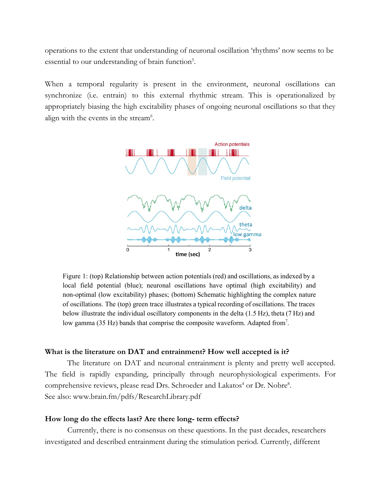operations to the extent that understanding of neuronal oscillation 'rhythms' now seems to be essential to our understanding of brain function<sup>5</sup>.

When a temporal regularity is present in the environment, neuronal oscillations can synchronize (i.e. entrain) to this external rhythmic stream. This is operationalized by appropriately biasing the high excitability phases of ongoing neuronal oscillations so that they align with the events in the stream<sup>6</sup>.



Figure 1: (top) Relationship between action potentials (red) and oscillations, as indexed by a local field potential (blue); neuronal oscillations have optimal (high excitability) and non-optimal (low excitability) phases; (bottom) Schematic highlighting the complex nature of oscillations. The (top) green trace illustrates a typical recording of oscillations. The traces below illustrate the individual oscillatory components in the delta (1.5 Hz), theta (7 Hz) and low gamma (35 Hz) bands that comprise the composite waveform. Adapted from<sup>7</sup>.

#### **What is the literature on DAT and entrainment? How well accepted is it?**

The literature on DAT and neuronal entrainment is plenty and pretty well accepted. The field is rapidly expanding, principally through neurophysiological experiments. For comprehensive reviews, please read Drs. Schroeder and Lakatos<sup>4</sup> or Dr. Nobre<sup>8</sup>. See also: www.brain.fm/pdfs/ResearchLibrary.pdf

## **How long do the effects last? Are there long- term effects?**

Currently, there is no consensus on these questions. In the past decades, researchers investigated and described entrainment during the stimulation period. Currently, different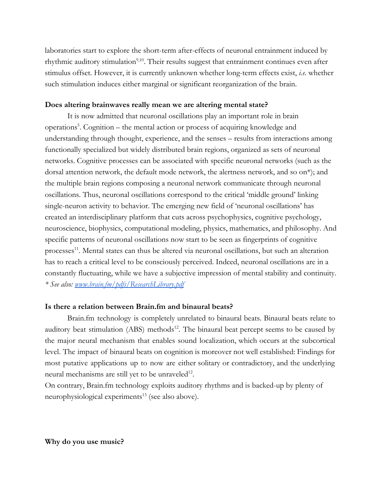laboratories start to explore the short-term after-effects of neuronal entrainment induced by rhythmic auditory stimulation<sup>9,10</sup>. Their results suggest that entrainment continues even after stimulus offset. However, it is currently unknown whether long-term effects exist, *i.e.* whether such stimulation induces either marginal or significant reorganization of the brain.

## **Does altering brainwaves really mean we are altering mental state?**

It is now admitted that neuronal oscillations play an important role in brain operations<sup>5</sup> . Cognition – the mental action or process of acquiring knowledge and understanding through thought, experience, and the senses – results from interactions among functionally specialized but widely distributed brain regions, organized as sets of neuronal networks. Cognitive processes can be associated with specific neuronal networks (such as the dorsal attention network, the default mode network, the alertness network, and so on\*); and the multiple brain regions composing a neuronal network communicate through neuronal oscillations. Thus, neuronal oscillations correspond to the critical 'middle ground' linking single-neuron activity to behavior. The emerging new field of 'neuronal oscillations' has created an interdisciplinary platform that cuts across psychophysics, cognitive psychology, neuroscience, biophysics, computational modeling, physics, mathematics, and philosophy. And specific patterns of neuronal oscillations now start to be seen as fingerprints of cognitive processes<sup>11</sup>. Mental states can thus be altered via neuronal oscillations, but such an alteration has to reach a critical level to be consciously perceived. Indeed, neuronal oscillations are in a constantly fluctuating, while we have a subjective impression of mental stability and continuity. *\* See also: [www.brain.fm/pdfs/ResearchLibrary.pdf](http://www.brain.fm/pdfs/ResearchLibrary.pdf)*

## **Is there a relation between Brain.fm and binaural beats?**

Brain.fm technology is completely unrelated to binaural beats. Binaural beats relate to auditory beat stimulation (ABS) methods<sup>12</sup>. The binaural beat percept seems to be caused by the major neural mechanism that enables sound localization, which occurs at the subcortical level. The impact of binaural beats on cognition is moreover not well established: Findings for most putative applications up to now are either solitary or contradictory, and the underlying neural mechanisms are still yet to be unraveled<sup>12</sup>.

On contrary, Brain.fm technology exploits auditory rhythms and is backed-up by plenty of neurophysiological experiments<sup>13</sup> (see also above).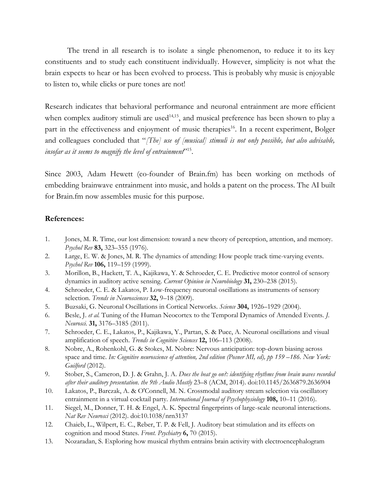The trend in all research is to isolate a single phenomenon, to reduce it to its key constituents and to study each constituent individually. However, simplicity is not what the brain expects to hear or has been evolved to process. This is probably why music is enjoyable to listen to, while clicks or pure tones are not!

Research indicates that behavioral performance and neuronal entrainment are more efficient when complex auditory stimuli are used<sup>14,15</sup>, and musical preference has been shown to play a part in the effectiveness and enjoyment of music therapies<sup>16</sup>. In a recent experiment, Bolger and colleagues concluded that "*[The] use of [musical] stimuli is not only possible, but also advisable, insofar as it seems to magnify the level of entrainment*" 15 .

Since 2003, Adam Hewett (co-founder of Brain.fm) has been working on methods of embedding brainwave entrainment into music, and holds a patent on the process. The AI built for Brain.fm now assembles music for this purpose.

#### **References:**

- 1. Jones, M. R. Time, our lost dimension: toward a new theory of perception, attention, and memory. *Psychol Rev* **83,** 323–355 (1976).
- 2. Large, E. W. & Jones, M. R. The dynamics of attending: How people track time-varying events. *Psychol Rev* **106,** 119–159 (1999).
- 3. Morillon, B., Hackett, T. A., Kajikawa, Y. & Schroeder, C. E. Predictive motor control of sensory dynamics in auditory active sensing. *Current Opinion in Neurobiology* **31,** 230–238 (2015).
- 4. Schroeder, C. E. & Lakatos, P. Low-frequency neuronal oscillations as instruments of sensory selection. *Trends in Neurosciences* **32,** 9–18 (2009).
- 5. Buzsaki, G. Neuronal Oscillations in Cortical Networks. *Science* **304,** 1926–1929 (2004).
- 6. Besle, J. *et al.* Tuning of the Human Neocortex to the Temporal Dynamics of Attended Events. *J. Neurosci.* **31,** 3176–3185 (2011).
- 7. Schroeder, C. E., Lakatos, P., Kajikawa, Y., Partan, S. & Puce, A. Neuronal oscillations and visual amplification of speech. *Trends in Cognitive Sciences* **12,** 106–113 (2008).
- 8. Nobre, A., Rohenkohl, G. & Stokes, M. Nobre: Nervous anticipation: top-down biasing across space and time. *In: Cognitive neuroscience of attention, 2nd edition (Posner MI, ed), pp 159 –186. New York: Guilford* (2012).
- 9. Stober, S., Cameron, D. J. & Grahn, J. A. *Does the beat go on?: identifying rhythms from brain waves recorded after their auditory presentation*. *the 9th Audio Mostly* 23–8 (ACM, 2014). doi:10.1145/2636879.2636904
- 10. Lakatos, P., Barczak, A. & O'Connell, M. N. Crossmodal auditory stream selection via oscillatory entrainment in a virtual cocktail party. *International Journal of Psychophysiology* **108,** 10–11 (2016).
- 11. Siegel, M., Donner, T. H. & Engel, A. K. Spectral fingerprints of large-scale neuronal interactions. *Nat Rev Neurosci* (2012). doi:10.1038/nrn3137
- 12. Chaieb, L., Wilpert, E. C., Reber, T. P. & Fell, J. Auditory beat stimulation and its effects on cognition and mood States. *Front. Psychiatry* **6,** 70 (2015).
- 13. Nozaradan, S. Exploring how musical rhythm entrains brain activity with electroencephalogram